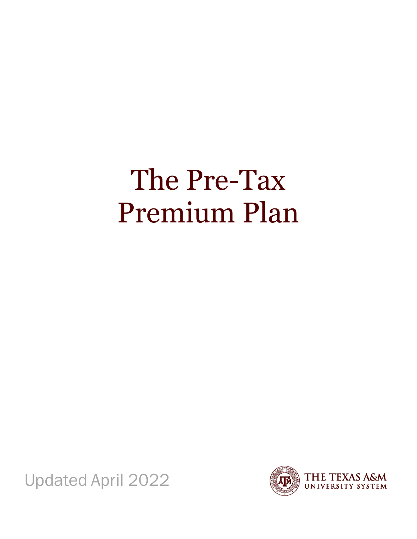# The Pre-Tax Premium Plan

Updated April 2022

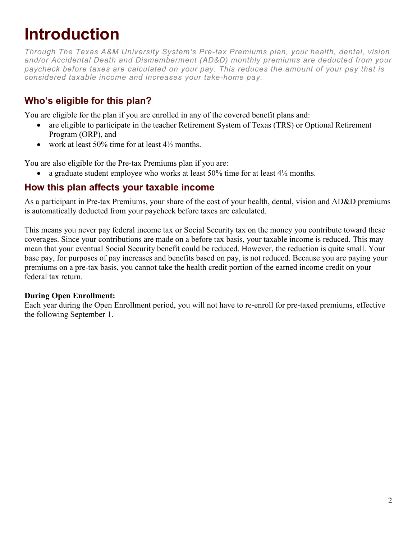## **Introduction**

*Through The Texas A&M University System's Pre-tax Premiums plan, your health, dental, vision and/or Accidental Death and Dismemberment (AD&D) monthly premiums are deducted from your paycheck before taxes are calculated on your pay. This reduces the amount of your pay that is considered taxable income and increases your take-home pay.*

#### **Who's eligible for this plan?**

You are eligible for the plan if you are enrolled in any of the covered benefit plans and:

- are eligible to participate in the teacher Retirement System of Texas (TRS) or Optional Retirement Program (ORP), and
- work at least  $50\%$  time for at least  $4\frac{1}{2}$  months.

You are also eligible for the Pre-tax Premiums plan if you are:

a graduate student employee who works at least  $50\%$  time for at least  $4\frac{1}{2}$  months.

#### **How this plan affects your taxable income**

As a participant in Pre-tax Premiums, your share of the cost of your health, dental, vision and AD&D premiums is automatically deducted from your paycheck before taxes are calculated.

This means you never pay federal income tax or Social Security tax on the money you contribute toward these coverages. Since your contributions are made on a before tax basis, your taxable income is reduced. This may mean that your eventual Social Security benefit could be reduced. However, the reduction is quite small. Your base pay, for purposes of pay increases and benefits based on pay, is not reduced. Because you are paying your premiums on a pre-tax basis, you cannot take the health credit portion of the earned income credit on your federal tax return.

#### **During Open Enrollment:**

Each year during the Open Enrollment period, you will not have to re-enroll for pre-taxed premiums, effective the following September 1.